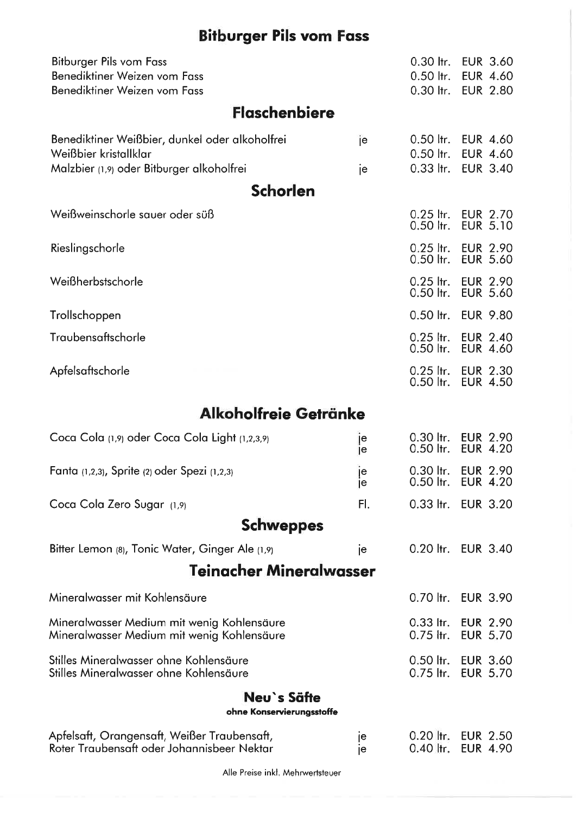# **Bitburger Pils vom Fass**

| Bitburger Pils vom Fass                                                                   |          | $0.30$ ltr.                     | <b>EUR 3.60</b>                       |
|-------------------------------------------------------------------------------------------|----------|---------------------------------|---------------------------------------|
| Benediktiner Weizen vom Fass<br>Benediktiner Weizen vom Fass                              |          | 0.50 ltr.<br>$0.30$ ltr.        | <b>EUR 4.60</b><br><b>EUR 2.80</b>    |
| <b>Flaschenbiere</b>                                                                      |          |                                 |                                       |
| Benediktiner Weißbier, dunkel oder alkoholfrei                                            | je       | $0.50$ ltr.                     | <b>EUR 4.60</b>                       |
| Weißbier kristallklar<br>Malzbier (1,9) oder Bitburger alkoholfrei                        | je       | $0.50$ ltr.<br>$0.33$ ltr.      | <b>EUR 4.60</b><br><b>EUR 3.40</b>    |
| <b>Schorlen</b>                                                                           |          |                                 |                                       |
| Weißweinschorle sauer oder süß                                                            |          | $0.25$ ltr.<br>0.50 ltr.        | <b>EUR 2.70</b><br><b>EUR 5.10</b>    |
| Rieslingschorle                                                                           |          | $0.25$ ltr.<br>$0.50$ ltr.      | <b>EUR 2.90</b><br><b>EUR 5.60</b>    |
| Weißherbstschorle                                                                         |          | $0.25$ ltr.<br>$0.50$ ltr.      | <b>EUR 2.90</b><br><b>EUR 5.60</b>    |
| Trollschoppen                                                                             |          | $0.50$ ltr.                     | <b>EUR 9.80</b>                       |
| Traubensaftschorle                                                                        |          | $0.25$ ltr.<br>$0.50$ ltr.      | <b>EUR 2.40</b><br><b>EUR 4.60</b>    |
| Apfelsaftschorle                                                                          |          | $0.25$ ltr.<br>$0.50$ ltr.      | <b>EUR 2.30</b><br><b>EUR 4.50</b>    |
| Alkoholfreie Getränke                                                                     |          |                                 |                                       |
| Coca Cola (1,9) oder Coca Cola Light (1,2,3,9)                                            | je<br>je | $0.30$ ltr.<br>$0.50$ ltr.      | <b>EUR 2.90</b><br><b>EUR 4.20</b>    |
| Fanta (1,2,3), Sprite (2) oder Spezi (1,2,3)                                              | je<br>je | $0.30$ ltr.<br>$0.50$ ltr.      | <b>EUR 2.90</b><br><b>EUR 4.20</b>    |
| Coca Cola Zero Sugar (1,9)                                                                | FI.      |                                 | 0.33 ltr. EUR 3.20                    |
| <b>Schweppes</b>                                                                          |          |                                 |                                       |
| Bitter Lemon (8), Tonic Water, Ginger Ale (1,9)                                           | je       |                                 | 0.20 ltr. EUR 3.40                    |
| <b>Teinacher Mineralwasser</b>                                                            |          |                                 |                                       |
| Mineralwasser mit Kohlensäure                                                             |          |                                 | 0.70 ltr. EUR 3.90                    |
| Mineralwasser Medium mit wenig Kohlensäure<br>Mineralwasser Medium mit wenig Kohlensäure  |          | $0.75$ ltr.                     | 0.33 ltr. EUR 2.90<br><b>EUR 5.70</b> |
| Stilles Mineralwasser ohne Kohlensäure<br>Stilles Mineralwasser ohne Kohlensäure          |          | $0.50$ $\,$ ltr.<br>$0.75$ ltr. | <b>EUR 3.60</b><br><b>EUR 5.70</b>    |
| Neu`s Säfte<br>ohne Konservierungsstoffe                                                  |          |                                 |                                       |
| Apfelsaft, Orangensaft, Weißer Traubensaft,<br>Roter Traubensaft oder Johannisbeer Nektar | je<br>le | $0.20$ ltr.<br>$0.40$ ltr.      | <b>EUR 2.50</b><br><b>EUR 4.90</b>    |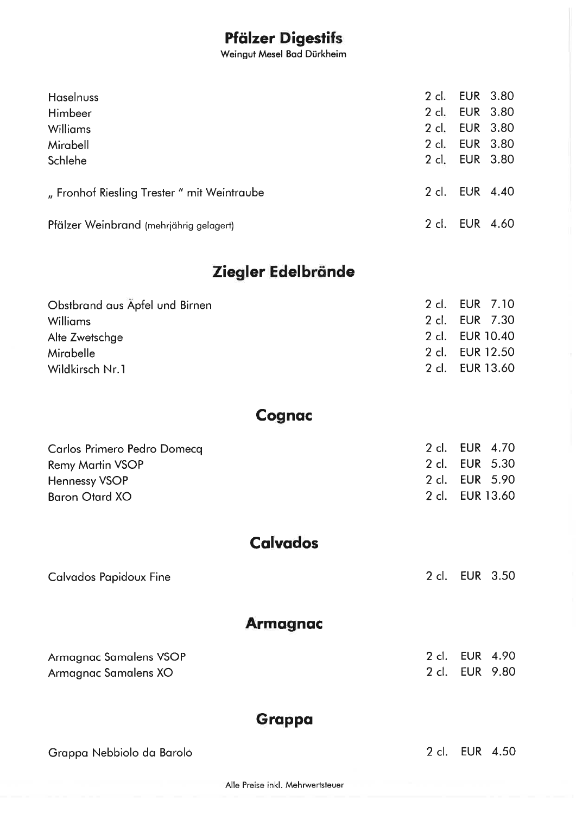### Pfölzer Digestifs

Weingut Mesel Bod Dürkheim

| <b>Haselnuss</b>                          | 2 cl.          | <b>EUR 3.80</b> |  |
|-------------------------------------------|----------------|-----------------|--|
| Himbeer                                   | $2$ cl.        | <b>EUR 3.80</b> |  |
| <b>Williams</b>                           | 2 cl. EUR 3.80 |                 |  |
| Mirabell                                  | 2 cl. EUR 3.80 |                 |  |
| Schlehe                                   | 2 cl. EUR 3.80 |                 |  |
| "Fronhof Riesling Trester" mit Weintraube |                | 2 cl. EUR 4.40  |  |
| Pfälzer Weinbrand (mehrjährig gelagert)   | $2$ cl.        | <b>EUR 4.60</b> |  |

## Ziegler Edelbrönde

| 2 cl. EUR 7.10  |
|-----------------|
| 2 cl. EUR 7.30  |
| 2 cl. EUR 10.40 |
| 2 cl. EUR 12.50 |
| 2 cl. EUR 13.60 |
|                 |

### **Cognac**

| Carlos Primero Pedro Domecq | 2 cl. EUR 4.70  |  |
|-----------------------------|-----------------|--|
| <b>Remy Martin VSOP</b>     | 2 cl. EUR 5.30  |  |
| Hennessy VSOP               | 2 cl. EUR 5.90  |  |
| Baron Otard XO              | 2 cl. EUR 13.60 |  |

### **Calvados**

Colvodos Popidoux Fine

**Armagnac** 

| Armagnac Samalens VSOP | 2 cl. EUR 4.90 |  |
|------------------------|----------------|--|
| Armagnac Samalens XO   | 2 cl. EUR 9.80 |  |

### **Grappa**

Groppo Nebbiolo do Borolo

2 cl. EUR 4.50

2 cl. EUR 3.50

Alle Preise inkl. Mehrwertsteuer